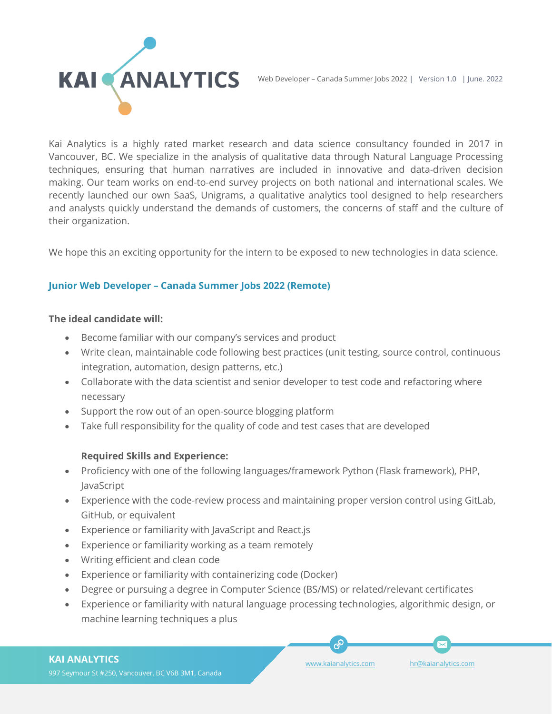

Kai Analytics is a highly rated market research and data science consultancy founded in 2017 in Vancouver, BC. We specialize in the analysis of qualitative data through Natural Language Processing techniques, ensuring that human narratives are included in innovative and data-driven decision making. Our team works on end-to-end survey projects on both national and international scales. We recently launched our own SaaS, Unigrams, a qualitative analytics tool designed to help researchers and analysts quickly understand the demands of customers, the concerns of staff and the culture of their organization.

We hope this an exciting opportunity for the intern to be exposed to new technologies in data science.

## **Junior Web Developer – Canada Summer Jobs 2022 (Remote)**

#### **The ideal candidate will:**

- Become familiar with our company's services and product
- Write clean, maintainable code following best practices (unit testing, source control, continuous integration, automation, design patterns, etc.)
- Collaborate with the data scientist and senior developer to test code and refactoring where necessary
- Support the row out of an open-source blogging platform
- Take full responsibility for the quality of code and test cases that are developed

### **Required Skills and Experience:**

- Proficiency with one of the following languages/framework Python (Flask framework), PHP, JavaScript
- Experience with the code-review process and maintaining proper version control using GitLab, GitHub, or equivalent
- Experience or familiarity with JavaScript and React.js
- Experience or familiarity working as a team remotely
- Writing efficient and clean code
- Experience or familiarity with containerizing code (Docker)
- Degree or pursuing a degree in Computer Science (BS/MS) or related/relevant certificates
- Experience or familiarity with natural language processing technologies, algorithmic design, or machine learning techniques a plus

### **KAI ANALYTICS**

[www.kaianalytics.com](http://www.kaianalytics.com/) [hr@kaianalytics.com](mailto:hr@kaianalytics.com)

E